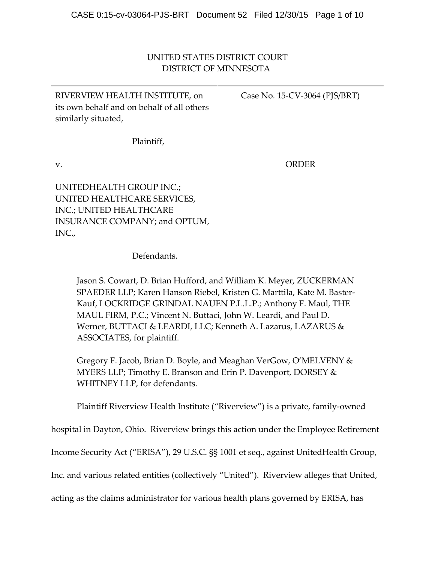# UNITED STATES DISTRICT COURT DISTRICT OF MINNESOTA

RIVERVIEW HEALTH INSTITUTE, on its own behalf and on behalf of all others similarly situated,

Case No. 15‐CV‐3064 (PJS/BRT)

Plaintiff,

v.

ORDER

UNITEDHEALTH GROUP INC.; UNITED HEALTHCARE SERVICES, INC.; UNITED HEALTHCARE INSURANCE COMPANY; and OPTUM, INC.,

Defendants.

Jason S. Cowart, D. Brian Hufford, and William K. Meyer, ZUCKERMAN SPAEDER LLP; Karen Hanson Riebel, Kristen G. Marttila, Kate M. Baster‐ Kauf, LOCKRIDGE GRINDAL NAUEN P.L.L.P.; Anthony F. Maul, THE MAUL FIRM, P.C.; Vincent N. Buttaci, John W. Leardi, and Paul D. Werner, BUTTACI & LEARDI, LLC; Kenneth A. Lazarus, LAZARUS & ASSOCIATES, for plaintiff.

Gregory F. Jacob, Brian D. Boyle, and Meaghan VerGow, O'MELVENY & MYERS LLP; Timothy E. Branson and Erin P. Davenport, DORSEY & WHITNEY LLP, for defendants.

Plaintiff Riverview Health Institute ("Riverview") is a private, family‐owned

hospital in Dayton, Ohio. Riverview brings this action under the Employee Retirement

Income Security Act ("ERISA"), 29 U.S.C. §§ 1001 et seq., against UnitedHealth Group,

Inc. and various related entities (collectively "United"). Riverview alleges that United,

acting as the claims administrator for various health plans governed by ERISA, has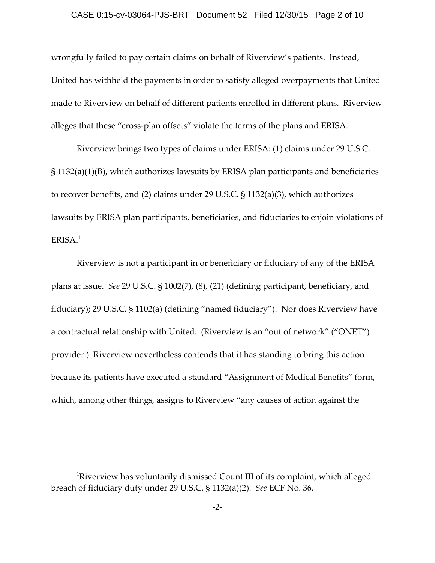## CASE 0:15-cv-03064-PJS-BRT Document 52 Filed 12/30/15 Page 2 of 10

wrongfully failed to pay certain claims on behalf of Riverview's patients. Instead, United has withheld the payments in order to satisfy alleged overpayments that United made to Riverview on behalf of different patients enrolled in different plans. Riverview alleges that these "cross‐plan offsets" violate the terms of the plans and ERISA.

Riverview brings two types of claims under ERISA: (1) claims under 29 U.S.C. § 1132(a)(1)(B), which authorizes lawsuits by ERISA plan participants and beneficiaries to recover benefits, and (2) claims under 29 U.S.C. § 1132(a)(3), which authorizes lawsuits by ERISA plan participants, beneficiaries, and fiduciaries to enjoin violations of  $ERISA.<sup>1</sup>$ 

Riverview is not a participant in or beneficiary or fiduciary of any of the ERISA plans at issue. *See* 29 U.S.C. § 1002(7), (8), (21) (defining participant, beneficiary, and fiduciary); 29 U.S.C. § 1102(a) (defining "named fiduciary"). Nor does Riverview have a contractual relationship with United. (Riverview is an "out of network" ("ONET") provider.) Riverview nevertheless contends that it has standing to bring this action because its patients have executed a standard "Assignment of Medical Benefits" form, which, among other things, assigns to Riverview "any causes of action against the

 ${}^{1}\!$ Riverview has voluntarily dismissed Count III of its complaint, which alleged breach of fiduciary duty under 29 U.S.C. § 1132(a)(2). *See* ECF No. 36.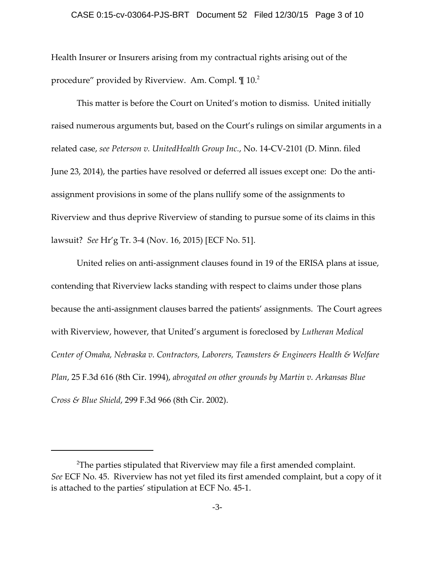#### CASE 0:15-cv-03064-PJS-BRT Document 52 Filed 12/30/15 Page 3 of 10

Health Insurer or Insurers arising from my contractual rights arising out of the procedure" provided by Riverview. Am. Compl.  $\mathop{1\hskip-2.5pt {\rm l}}\nolimits^{2}$ 

This matter is before the Court on United's motion to dismiss. United initially raised numerous arguments but, based on the Court's rulings on similar arguments in a related case, *see Peterson v. UnitedHealth Group Inc.*, No. 14‐CV‐2101 (D. Minn. filed June 23, 2014), the parties have resolved or deferred all issues except one: Do the antiassignment provisions in some of the plans nullify some of the assignments to Riverview and thus deprive Riverview of standing to pursue some of its claims in this lawsuit? *See* Hr'g Tr. 3‐4 (Nov. 16, 2015) [ECF No. 51].

United relies on anti‐assignment clauses found in 19 of the ERISA plans at issue, contending that Riverview lacks standing with respect to claims under those plans because the anti-assignment clauses barred the patients' assignments. The Court agrees with Riverview, however, that United's argument is foreclosed by *Lutheran Medical Center of Omaha, Nebraska v. Contractors, Laborers, Teamsters & Engineers Health & Welfare Plan*, 25 F.3d 616 (8th Cir. 1994), *abrogated on other grounds by Martin v. Arkansas Blue Cross & Blue Shield*, 299 F.3d 966 (8th Cir. 2002).

 $^{2}$ The parties stipulated that Riverview may file a first amended complaint. *See* ECF No. 45. Riverview has not yet filed its first amended complaint, but a copy of it is attached to the parties' stipulation at ECF No. 45‐1.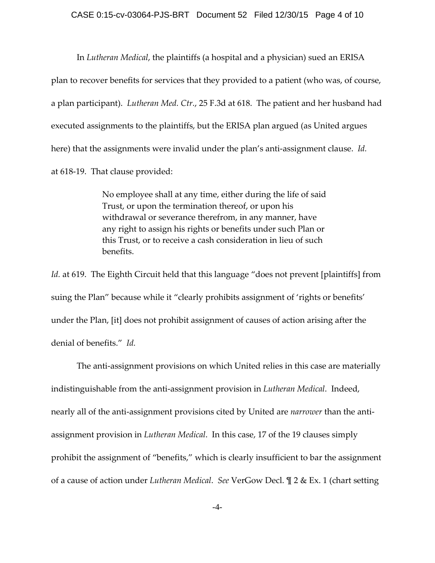In *Lutheran Medical*, the plaintiffs (a hospital and a physician) sued an ERISA plan to recover benefits for services that they provided to a patient (who was, of course, a plan participant). *Lutheran Med. Ctr.*, 25 F.3d at 618. The patient and her husband had executed assignments to the plaintiffs, but the ERISA plan argued (as United argues here) that the assignments were invalid under the plan's anti-assignment clause. *Id.* at 618‐19. That clause provided:

> No employee shall at any time, either during the life of said Trust, or upon the termination thereof, or upon his withdrawal or severance therefrom, in any manner, have any right to assign his rights or benefits under such Plan or this Trust, or to receive a cash consideration in lieu of such benefits.

*Id.* at 619. The Eighth Circuit held that this language "does not prevent [plaintiffs] from suing the Plan" because while it "clearly prohibits assignment of 'rights or benefits' under the Plan, [it] does not prohibit assignment of causes of action arising after the denial of benefits." *Id.*

The anti‐assignment provisions on which United relies in this case are materially indistinguishable from the anti‐assignment provision in *Lutheran Medical*. Indeed, nearly all of the anti-assignment provisions cited by United are *narrower* than the antiassignment provision in *Lutheran Medical*. In this case, 17 of the 19 clauses simply prohibit the assignment of "benefits," which is clearly insufficient to bar the assignment of a cause of action under *Lutheran Medical*. *See* VerGow Decl. ¶ 2 & Ex. 1 (chart setting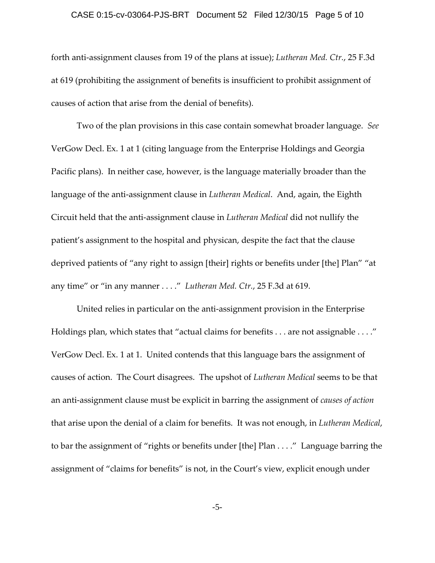## CASE 0:15-cv-03064-PJS-BRT Document 52 Filed 12/30/15 Page 5 of 10

forth anti‐assignment clauses from 19 of the plans at issue); *Lutheran Med. Ctr.*, 25 F.3d at 619 (prohibiting the assignment of benefits is insufficient to prohibit assignment of causes of action that arise from the denial of benefits).

Two of the plan provisions in this case contain somewhat broader language. *See* VerGow Decl. Ex. 1 at 1 (citing language from the Enterprise Holdings and Georgia Pacific plans). In neither case, however, is the language materially broader than the language of the anti‐assignment clause in *Lutheran Medical*. And, again, the Eighth Circuit held that the anti‐assignment clause in *Lutheran Medical* did not nullify the patient's assignment to the hospital and physican, despite the fact that the clause deprived patients of "any right to assign [their] rights or benefits under [the] Plan" "at any time" or "in any manner . . . ." *Lutheran Med. Ctr.*, 25 F.3d at 619.

United relies in particular on the anti‐assignment provision in the Enterprise Holdings plan, which states that "actual claims for benefits . . . are not assignable . . . ." VerGow Decl. Ex. 1 at 1. United contends that this language bars the assignment of causes of action. The Court disagrees. The upshot of *Lutheran Medical* seems to be that an anti‐assignment clause must be explicit in barring the assignment of *causes of action* that arise upon the denial of a claim for benefits. It was not enough, in *Lutheran Medical*, to bar the assignment of "rights or benefits under [the] Plan . . . ." Language barring the assignment of "claims for benefits" is not, in the Court's view, explicit enough under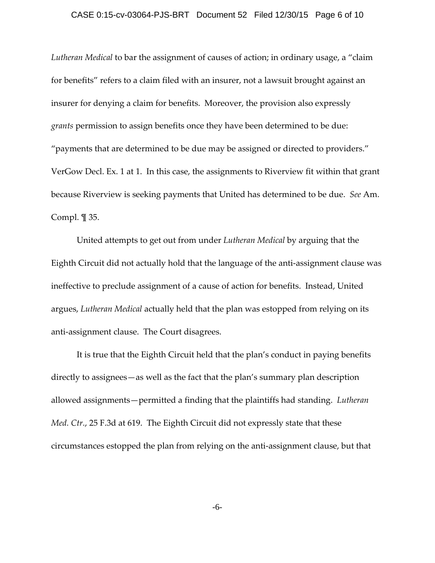## CASE 0:15-cv-03064-PJS-BRT Document 52 Filed 12/30/15 Page 6 of 10

*Lutheran Medical* to bar the assignment of causes of action; in ordinary usage, a "claim for benefits" refers to a claim filed with an insurer, not a lawsuit brought against an insurer for denying a claim for benefits. Moreover, the provision also expressly *grants* permission to assign benefits once they have been determined to be due: "payments that are determined to be due may be assigned or directed to providers." VerGow Decl. Ex. 1 at 1. In this case, the assignments to Riverview fit within that grant because Riverview is seeking payments that United has determined to be due. *See* Am. Compl. ¶ 35.

United attempts to get out from under *Lutheran Medical* by arguing that the Eighth Circuit did not actually hold that the language of the anti‐assignment clause was ineffective to preclude assignment of a cause of action for benefits. Instead, United argues, *Lutheran Medical* actually held that the plan was estopped from relying on its anti‐assignment clause. The Court disagrees.

It is true that the Eighth Circuit held that the plan's conduct in paying benefits directly to assignees—as well as the fact that the plan's summary plan description allowed assignments—permitted a finding that the plaintiffs had standing. *Lutheran Med. Ctr.*, 25 F.3d at 619. The Eighth Circuit did not expressly state that these circumstances estopped the plan from relying on the anti‐assignment clause, but that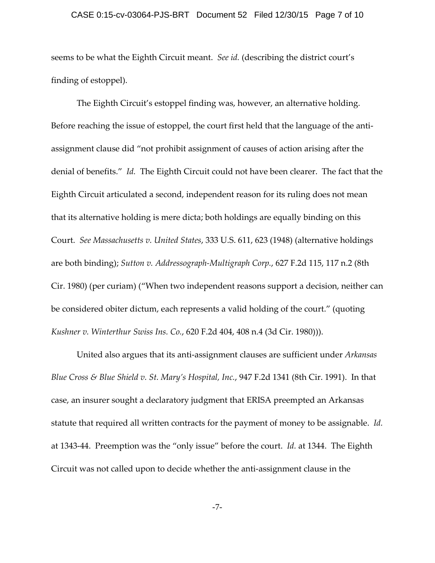## CASE 0:15-cv-03064-PJS-BRT Document 52 Filed 12/30/15 Page 7 of 10

seems to be what the Eighth Circuit meant. *See id.* (describing the district court's finding of estoppel).

The Eighth Circuit's estoppel finding was, however, an alternative holding. Before reaching the issue of estoppel, the court first held that the language of the antiassignment clause did "not prohibit assignment of causes of action arising after the denial of benefits." *Id.* The Eighth Circuit could not have been clearer. The fact that the Eighth Circuit articulated a second, independent reason for its ruling does not mean that its alternative holding is mere dicta; both holdings are equally binding on this Court. *See Massachusetts v. United States*, 333 U.S. 611, 623 (1948) (alternative holdings are both binding); *Sutton v. Addressograph‐Multigraph Corp.*, 627 F.2d 115, 117 n.2 (8th Cir. 1980) (per curiam) ("When two independent reasons support a decision, neither can be considered obiter dictum, each represents a valid holding of the court." (quoting *Kushner v. Winterthur Swiss Ins. Co.*, 620 F.2d 404, 408 n.4 (3d Cir. 1980))).

United also argues that its anti‐assignment clauses are sufficient under *Arkansas Blue Cross & Blue Shield v. St. Mary's Hospital, Inc.*, 947 F.2d 1341 (8th Cir. 1991). In that case, an insurer sought a declaratory judgment that ERISA preempted an Arkansas statute that required all written contracts for the payment of money to be assignable. *Id.* at 1343‐44. Preemption was the "only issue" before the court. *Id.* at 1344. The Eighth Circuit was not called upon to decide whether the anti‐assignment clause in the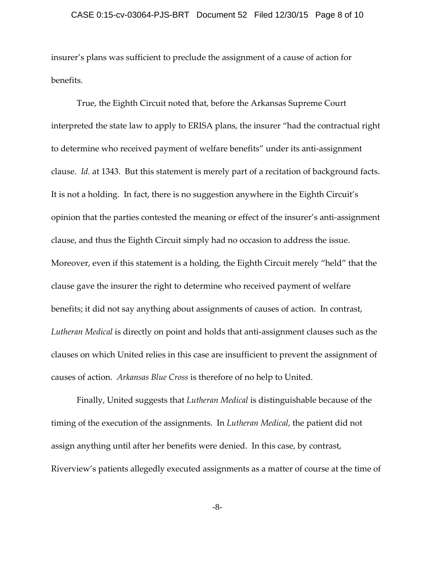insurer's plans was sufficient to preclude the assignment of a cause of action for benefits.

True, the Eighth Circuit noted that, before the Arkansas Supreme Court interpreted the state law to apply to ERISA plans, the insurer "had the contractual right to determine who received payment of welfare benefits" under its anti‐assignment clause. *Id.* at 1343. But this statement is merely part of a recitation of background facts. It is not a holding. In fact, there is no suggestion anywhere in the Eighth Circuit's opinion that the parties contested the meaning or effect of the insurer's anti‐assignment clause, and thus the Eighth Circuit simply had no occasion to address the issue. Moreover, even if this statement is a holding, the Eighth Circuit merely "held" that the clause gave the insurer the right to determine who received payment of welfare benefits; it did not say anything about assignments of causes of action. In contrast, *Lutheran Medical* is directly on point and holds that anti‐assignment clauses such as the clauses on which United relies in this case are insufficient to prevent the assignment of causes of action. *Arkansas Blue Cross* is therefore of no help to United.

Finally, United suggests that *Lutheran Medical* is distinguishable because of the timing of the execution of the assignments. In *Lutheran Medical*, the patient did not assign anything until after her benefits were denied. In this case, by contrast, Riverview's patients allegedly executed assignments as a matter of course at the time of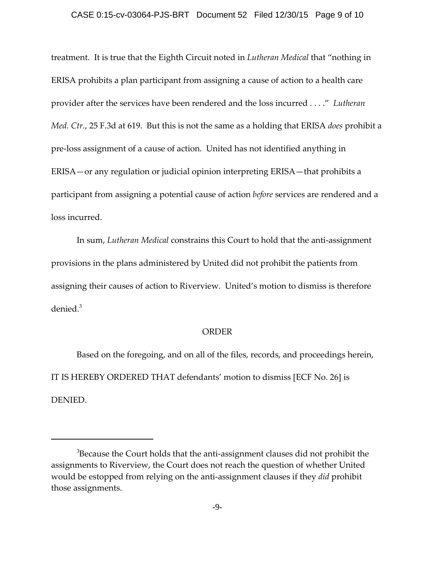#### CASE 0:15-cv-03064-PJS-BRT Document 52 Filed 12/30/15 Page 9 of 10

treatment. It is true that the Eighth Circuit noted in *Lutheran Medical* that "nothing in ERISA prohibits a plan participant from assigning a cause of action to a health care provider after the services have been rendered and the loss incurred . . . ." *Lutheran Med. Ctr.*, 25 F.3d at 619. But this is not the same as a holding that ERISA *does* prohibit a pre‐loss assignment of a cause of action. United has not identified anything in ERISA—or any regulation or judicial opinion interpreting ERISA—that prohibits a participant from assigning a potential cause of action *before* services are rendered and a loss incurred.

In sum, *Lutheran Medical* constrains this Court to hold that the anti-assignment provisions in the plans administered by United did not prohibit the patients from assigning their causes of action to Riverview. United's motion to dismiss is therefore denied.<sup>3</sup>

#### **ORDER**

Based on the foregoing, and on all of the files, records, and proceedings herein, IT IS HEREBY ORDERED THAT defendants' motion to dismiss [ECF No. 26] is DENIED.

 $^3$ Because the Court holds that the anti-assignment clauses did not prohibit the assignments to Riverview, the Court does not reach the question of whether United would be estopped from relying on the anti‐assignment clauses if they *did* prohibit those assignments.